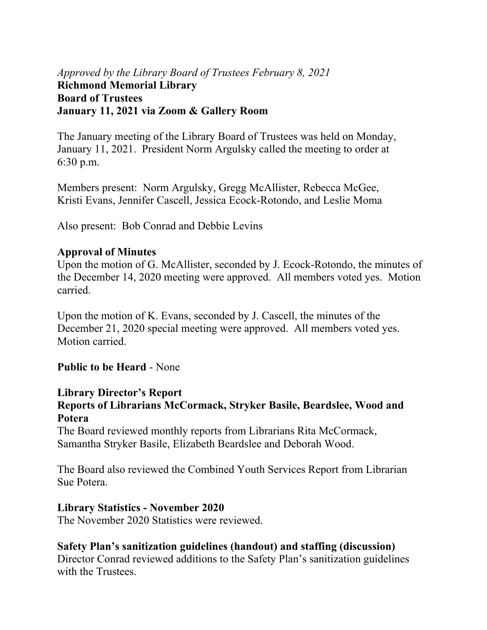# *Approved by the Library Board of Trustees February 8, 2021* **Richmond Memorial Library Board of Trustees January 11, 2021 via Zoom & Gallery Room**

The January meeting of the Library Board of Trustees was held on Monday, January 11, 2021. President Norm Argulsky called the meeting to order at 6:30 p.m.

Members present: Norm Argulsky, Gregg McAllister, Rebecca McGee, Kristi Evans, Jennifer Cascell, Jessica Ecock-Rotondo, and Leslie Moma

Also present: Bob Conrad and Debbie Levins

### **Approval of Minutes**

Upon the motion of G. McAllister, seconded by J. Ecock-Rotondo, the minutes of the December 14, 2020 meeting were approved. All members voted yes. Motion carried.

Upon the motion of K. Evans, seconded by J. Cascell, the minutes of the December 21, 2020 special meeting were approved. All members voted yes. Motion carried.

# **Public to be Heard** - None

### **Library Director's Report**

### **Reports of Librarians McCormack, Stryker Basile, Beardslee, Wood and Potera**

The Board reviewed monthly reports from Librarians Rita McCormack, Samantha Stryker Basile, Elizabeth Beardslee and Deborah Wood.

The Board also reviewed the Combined Youth Services Report from Librarian Sue Potera.

### **Library Statistics - November 2020**

The November 2020 Statistics were reviewed.

# **Safety Plan's sanitization guidelines (handout) and staffing (discussion)**

Director Conrad reviewed additions to the Safety Plan's sanitization guidelines with the Trustees.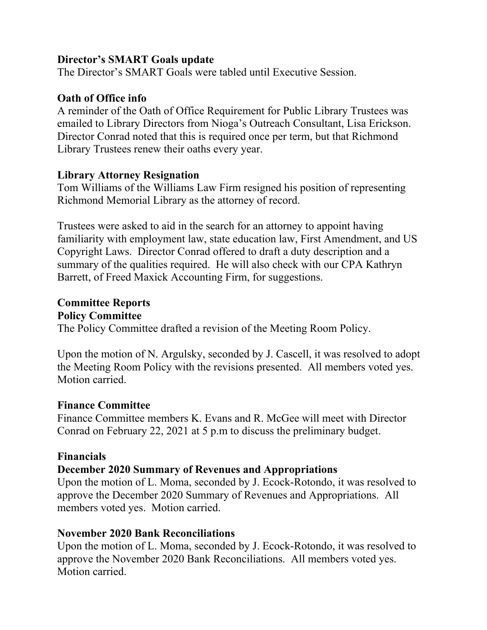#### **Director's SMART Goals update**

The Director's SMART Goals were tabled until Executive Session.

### **Oath of Office info**

A reminder of the Oath of Office Requirement for Public Library Trustees was emailed to Library Directors from Nioga's Outreach Consultant, Lisa Erickson. Director Conrad noted that this is required once per term, but that Richmond Library Trustees renew their oaths every year.

#### **Library Attorney Resignation**

Tom Williams of the Williams Law Firm resigned his position of representing Richmond Memorial Library as the attorney of record.

Trustees were asked to aid in the search for an attorney to appoint having familiarity with employment law, state education law, First Amendment, and US Copyright Laws. Director Conrad offered to draft a duty description and a summary of the qualities required. He will also check with our CPA Kathryn Barrett, of Freed Maxick Accounting Firm, for suggestions.

## **Committee Reports Policy Committee**

The Policy Committee drafted a revision of the Meeting Room Policy.

Upon the motion of N. Argulsky, seconded by J. Cascell, it was resolved to adopt the Meeting Room Policy with the revisions presented. All members voted yes. Motion carried.

### **Finance Committee**

Finance Committee members K. Evans and R. McGee will meet with Director Conrad on February 22, 2021 at 5 p.m to discuss the preliminary budget.

### **Financials**

### **December 2020 Summary of Revenues and Appropriations**

Upon the motion of L. Moma, seconded by J. Ecock-Rotondo, it was resolved to approve the December 2020 Summary of Revenues and Appropriations. All members voted yes. Motion carried.

### **November 2020 Bank Reconciliations**

Upon the motion of L. Moma, seconded by J. Ecock-Rotondo, it was resolved to approve the November 2020 Bank Reconciliations. All members voted yes. Motion carried.